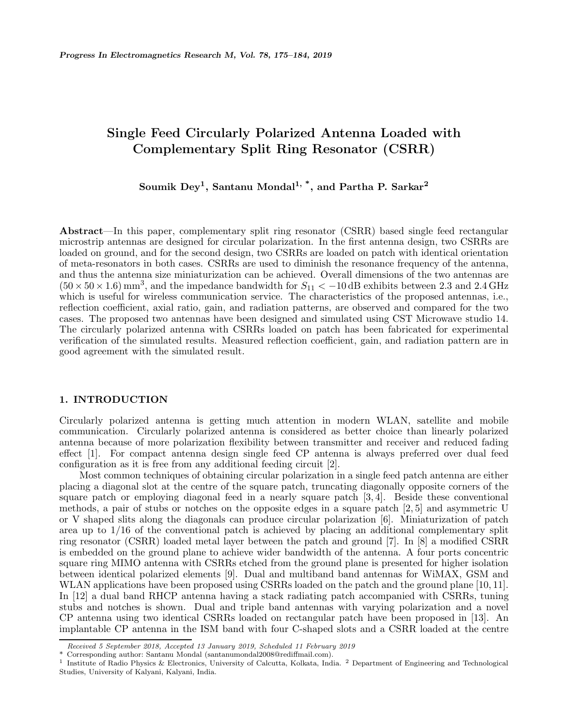# **Single Feed Circularly Polarized Antenna Loaded with Complementary Split Ring Resonator (CSRR)**

**Soumik Dey1, Santanu Mondal1, \*, and Partha P. Sarkar<sup>2</sup>**

**Abstract**—In this paper, complementary split ring resonator (CSRR) based single feed rectangular microstrip antennas are designed for circular polarization. In the first antenna design, two CSRRs are loaded on ground, and for the second design, two CSRRs are loaded on patch with identical orientation of meta-resonators in both cases. CSRRs are used to diminish the resonance frequency of the antenna, and thus the antenna size miniaturization can be achieved. Overall dimensions of the two antennas are  $(50 \times 50 \times 1.6)$  mm<sup>3</sup>, and the impedance bandwidth for  $S_{11} < -10$  dB exhibits between 2.3 and 2.4 GHz which is useful for wireless communication service. The characteristics of the proposed antennas, i.e., reflection coefficient, axial ratio, gain, and radiation patterns, are observed and compared for the two cases. The proposed two antennas have been designed and simulated using CST Microwave studio 14. The circularly polarized antenna with CSRRs loaded on patch has been fabricated for experimental verification of the simulated results. Measured reflection coefficient, gain, and radiation pattern are in good agreement with the simulated result.

### **1. INTRODUCTION**

Circularly polarized antenna is getting much attention in modern WLAN, satellite and mobile communication. Circularly polarized antenna is considered as better choice than linearly polarized antenna because of more polarization flexibility between transmitter and receiver and reduced fading effect [1]. For compact antenna design single feed CP antenna is always preferred over dual feed configuration as it is free from any additional feeding circuit [2].

Most common techniques of obtaining circular polarization in a single feed patch antenna are either placing a diagonal slot at the centre of the square patch, truncating diagonally opposite corners of the square patch or employing diagonal feed in a nearly square patch [3, 4]. Beside these conventional methods, a pair of stubs or notches on the opposite edges in a square patch [2, 5] and asymmetric U or V shaped slits along the diagonals can produce circular polarization [6]. Miniaturization of patch area up to 1/16 of the conventional patch is achieved by placing an additional complementary split ring resonator (CSRR) loaded metal layer between the patch and ground [7]. In [8] a modified CSRR is embedded on the ground plane to achieve wider bandwidth of the antenna. A four ports concentric square ring MIMO antenna with CSRRs etched from the ground plane is presented for higher isolation between identical polarized elements [9]. Dual and multiband band antennas for WiMAX, GSM and WLAN applications have been proposed using CSRRs loaded on the patch and the ground plane [10, 11]. In [12] a dual band RHCP antenna having a stack radiating patch accompanied with CSRRs, tuning stubs and notches is shown. Dual and triple band antennas with varying polarization and a novel CP antenna using two identical CSRRs loaded on rectangular patch have been proposed in [13]. An implantable CP antenna in the ISM band with four C-shaped slots and a CSRR loaded at the centre

*Received 5 September 2018, Accepted 13 January 2019, Scheduled 11 February 2019*

<sup>\*</sup> Corresponding author: Santanu Mondal (santanumondal2008@rediffmail.com).

<sup>1</sup> Institute of Radio Physics & Electronics, University of Calcutta, Kolkata, India. <sup>2</sup> Department of Engineering and Technological Studies, University of Kalyani, Kalyani, India.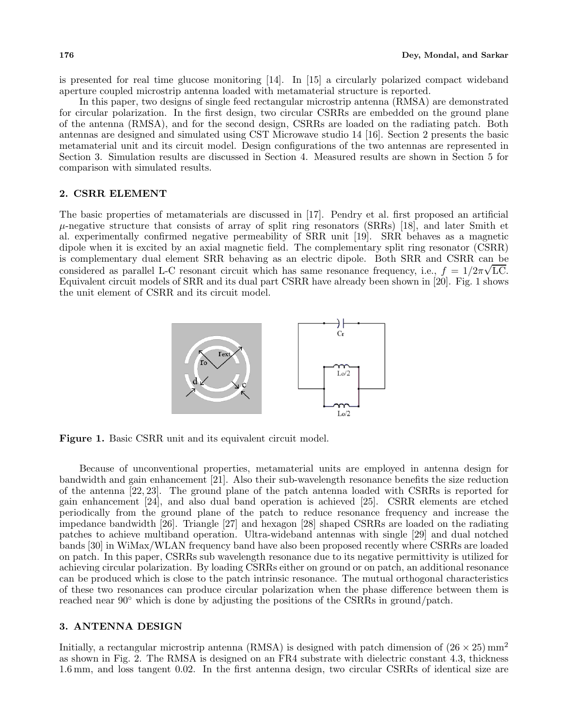is presented for real time glucose monitoring [14]. In [15] a circularly polarized compact wideband aperture coupled microstrip antenna loaded with metamaterial structure is reported.

In this paper, two designs of single feed rectangular microstrip antenna (RMSA) are demonstrated for circular polarization. In the first design, two circular CSRRs are embedded on the ground plane of the antenna (RMSA), and for the second design, CSRRs are loaded on the radiating patch. Both antennas are designed and simulated using CST Microwave studio 14 [16]. Section 2 presents the basic metamaterial unit and its circuit model. Design configurations of the two antennas are represented in Section 3. Simulation results are discussed in Section 4. Measured results are shown in Section 5 for comparison with simulated results.

#### **2. CSRR ELEMENT**

The basic properties of metamaterials are discussed in [17]. Pendry et al. first proposed an artificial  $\mu$ -negative structure that consists of array of split ring resonators (SRRs) [18], and later Smith et al. experimentally confirmed negative permeability of SRR unit [19]. SRR behaves as a magnetic dipole when it is excited by an axial magnetic field. The complementary split ring resonator (CSRR) is complementary dual element SRR behaving as an electric dipole. Both SRR and CSRR can be considered as parallel L-C resonant circuit which has same resonance frequency, i.e.,  $f = 1/2\pi\sqrt{LC}$ . Equivalent circuit models of SRR and its dual part CSRR have already been shown in [20]. Fig. 1 shows the unit element of CSRR and its circuit model.



**Figure 1.** Basic CSRR unit and its equivalent circuit model.

Because of unconventional properties, metamaterial units are employed in antenna design for bandwidth and gain enhancement [21]. Also their sub-wavelength resonance benefits the size reduction of the antenna [22, 23]. The ground plane of the patch antenna loaded with CSRRs is reported for gain enhancement [24], and also dual band operation is achieved [25]. CSRR elements are etched periodically from the ground plane of the patch to reduce resonance frequency and increase the impedance bandwidth [26]. Triangle [27] and hexagon [28] shaped CSRRs are loaded on the radiating patches to achieve multiband operation. Ultra-wideband antennas with single [29] and dual notched bands [30] in WiMax/WLAN frequency band have also been proposed recently where CSRRs are loaded on patch. In this paper, CSRRs sub wavelength resonance due to its negative permittivity is utilized for achieving circular polarization. By loading CSRRs either on ground or on patch, an additional resonance can be produced which is close to the patch intrinsic resonance. The mutual orthogonal characteristics of these two resonances can produce circular polarization when the phase difference between them is reached near 90◦ which is done by adjusting the positions of the CSRRs in ground/patch.

# **3. ANTENNA DESIGN**

Initially, a rectangular microstrip antenna (RMSA) is designed with patch dimension of  $(26 \times 25)$  mm<sup>2</sup> as shown in Fig. 2. The RMSA is designed on an FR4 substrate with dielectric constant 4.3, thickness 1.6 mm, and loss tangent 0.02. In the first antenna design, two circular CSRRs of identical size are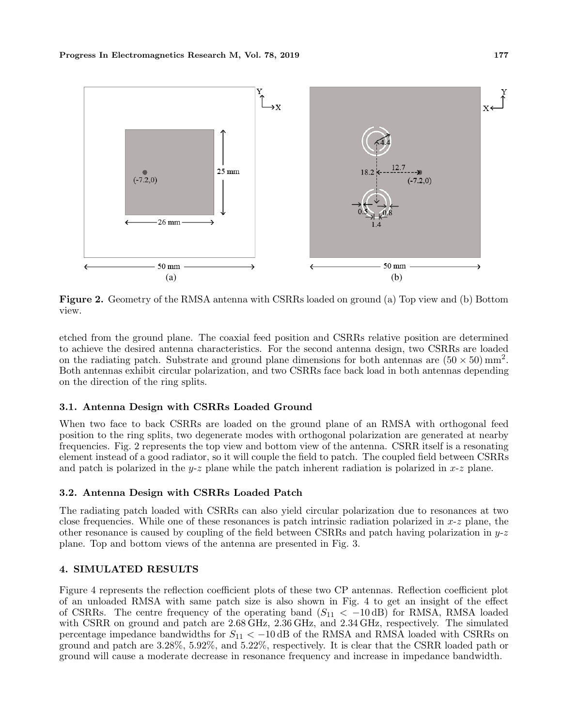

**Figure 2.** Geometry of the RMSA antenna with CSRRs loaded on ground (a) Top view and (b) Bottom view.

etched from the ground plane. The coaxial feed position and CSRRs relative position are determined to achieve the desired antenna characteristics. For the second antenna design, two CSRRs are loaded on the radiating patch. Substrate and ground plane dimensions for both antennas are  $(50 \times 50)$  mm<sup>2</sup>. Both antennas exhibit circular polarization, and two CSRRs face back load in both antennas depending on the direction of the ring splits.

# **3.1. Antenna Design with CSRRs Loaded Ground**

When two face to back CSRRs are loaded on the ground plane of an RMSA with orthogonal feed position to the ring splits, two degenerate modes with orthogonal polarization are generated at nearby frequencies. Fig. 2 represents the top view and bottom view of the antenna. CSRR itself is a resonating element instead of a good radiator, so it will couple the field to patch. The coupled field between CSRRs and patch is polarized in the  $y-z$  plane while the patch inherent radiation is polarized in  $x-z$  plane.

# **3.2. Antenna Design with CSRRs Loaded Patch**

The radiating patch loaded with CSRRs can also yield circular polarization due to resonances at two close frequencies. While one of these resonances is patch intrinsic radiation polarized in  $x-z$  plane, the other resonance is caused by coupling of the field between CSRRs and patch having polarization in  $y-z$ plane. Top and bottom views of the antenna are presented in Fig. 3.

### **4. SIMULATED RESULTS**

Figure 4 represents the reflection coefficient plots of these two CP antennas. Reflection coefficient plot of an unloaded RMSA with same patch size is also shown in Fig. 4 to get an insight of the effect of CSRRs. The centre frequency of the operating band  $(S_{11} < -10 \text{ dB})$  for RMSA, RMSA loaded with CSRR on ground and patch are 2.68 GHz, 2.36 GHz, and 2.34 GHz, respectively. The simulated percentage impedance bandwidths for  $S_{11} < -10$  dB of the RMSA and RMSA loaded with CSRRs on ground and patch are 3.28%, 5.92%, and 5.22%, respectively. It is clear that the CSRR loaded path or ground will cause a moderate decrease in resonance frequency and increase in impedance bandwidth.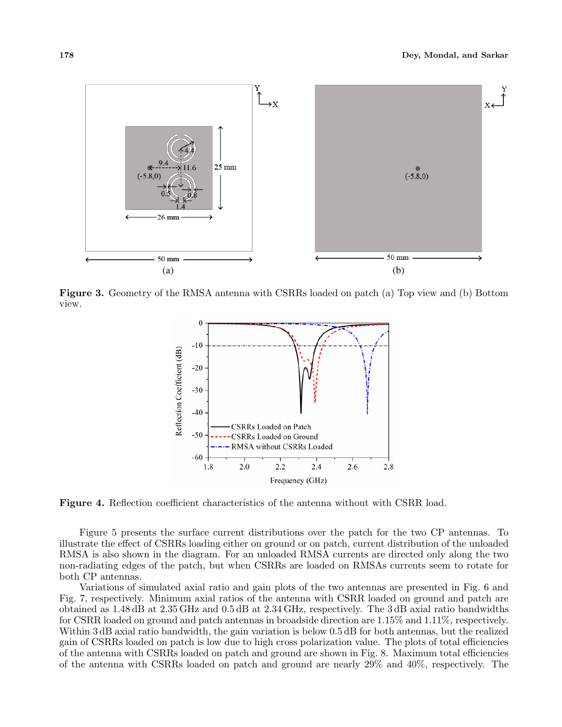

**Figure 3.** Geometry of the RMSA antenna with CSRRs loaded on patch (a) Top view and (b) Bottom view.



**Figure 4.** Reflection coefficient characteristics of the antenna without with CSRR load.

Figure 5 presents the surface current distributions over the patch for the two CP antennas. To illustrate the effect of CSRRs loading either on ground or on patch, current distribution of the unloaded RMSA is also shown in the diagram. For an unloaded RMSA currents are directed only along the two non-radiating edges of the patch, but when CSRRs are loaded on RMSAs currents seem to rotate for both CP antennas.

Variations of simulated axial ratio and gain plots of the two antennas are presented in Fig. 6 and Fig. 7, respectively. Minimum axial ratios of the antenna with CSRR loaded on ground and patch are obtained as 1.48 dB at 2.35 GHz and 0.5 dB at 2.34 GHz, respectively. The 3 dB axial ratio bandwidths for CSRR loaded on ground and patch antennas in broadside direction are 1.15% and 1.11%, respectively. Within 3 dB axial ratio bandwidth, the gain variation is below 0.5 dB for both antennas, but the realized gain of CSRRs loaded on patch is low due to high cross polarization value. The plots of total efficiencies of the antenna with CSRRs loaded on patch and ground are shown in Fig. 8. Maximum total efficiencies of the antenna with CSRRs loaded on patch and ground are nearly 29% and 40%, respectively. The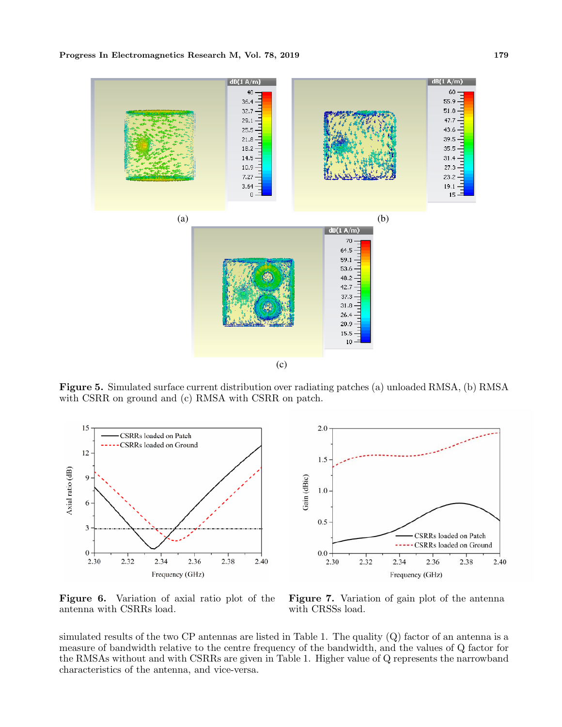

**Figure 5.** Simulated surface current distribution over radiating patches (a) unloaded RMSA, (b) RMSA with CSRR on ground and (c) RMSA with CSRR on patch.



**Figure 6.** Variation of axial ratio plot of the antenna with CSRRs load.

**Figure 7.** Variation of gain plot of the antenna with CRSSs load.

simulated results of the two CP antennas are listed in Table 1. The quality (Q) factor of an antenna is a measure of bandwidth relative to the centre frequency of the bandwidth, and the values of Q factor for the RMSAs without and with CSRRs are given in Table 1. Higher value of Q represents the narrowband characteristics of the antenna, and vice-versa.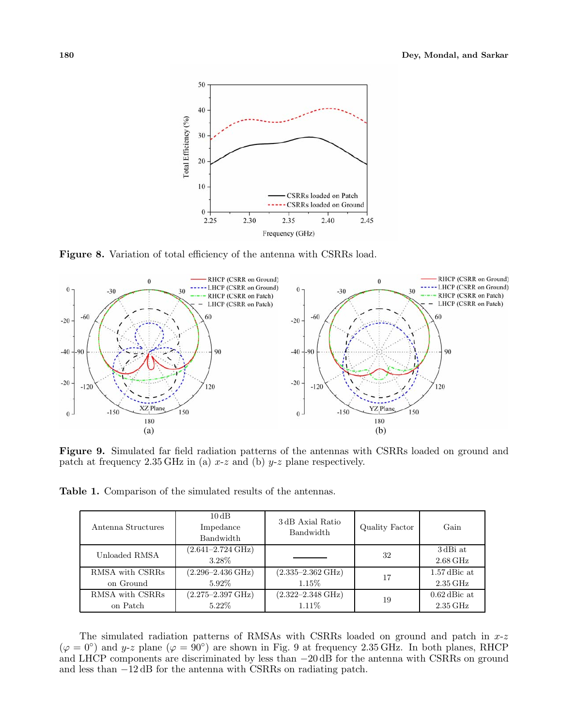

**Figure 8.** Variation of total efficiency of the antenna with CSRRs load.



**Figure 9.** Simulated far field radiation patterns of the antennas with CSRRs loaded on ground and patch at frequency  $2.35 \text{ GHz}$  in (a) x-z and (b) y-z plane respectively.

**Table 1.** Comparison of the simulated results of the antennas.

| Antenna Structures | $10\,\mathrm{dB}$<br>Impedance<br>Bandwidth | 3 dB Axial Ratio<br>Bandwidth | Quality Factor | Gain                            |
|--------------------|---------------------------------------------|-------------------------------|----------------|---------------------------------|
| Unloaded RMSA      | $(2.641 - 2.724 \text{ GHz})$<br>3.28%      |                               | 32             | 3dBi at<br>$2.68\,\mathrm{GHz}$ |
| RMSA with CSRRs    | $(2.296 - 2.436 \text{ GHz})$               | $(2.335 - 2.362 \text{ GHz})$ | 17             | $1.57$ dBic at                  |
| on Ground          | 5.92%                                       | $1.15\%$                      |                | $2.35\,\mathrm{GHz}$            |
| RMSA with CSRRs    | $(2.275 - 2.397 \text{ GHz})$               | $(2.322 - 2.348 \text{ GHz})$ | 19             | $0.62$ dBic at                  |
| on Patch           | $5.22\%$                                    | $1.11\%$                      |                | $2.35\,\mathrm{GHz}$            |

The simulated radiation patterns of RMSAs with CSRRs loaded on ground and patch in  $x-z$  $(\varphi = 0^{\circ})$  and y-z plane  $(\varphi = 90^{\circ})$  are shown in Fig. 9 at frequency 2.35 GHz. In both planes, RHCP and LHCP components are discriminated by less than −20 dB for the antenna with CSRRs on ground and less than −12 dB for the antenna with CSRRs on radiating patch.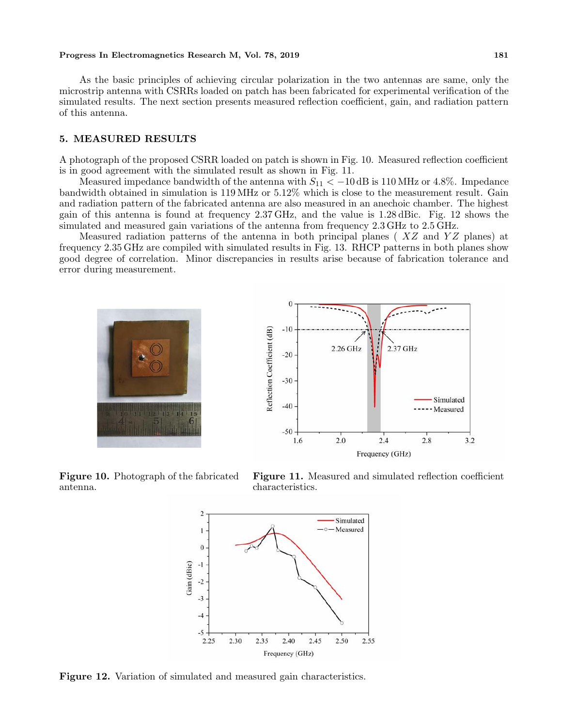#### **Progress In Electromagnetics Research M, Vol. 78, 2019** 181

As the basic principles of achieving circular polarization in the two antennas are same, only the microstrip antenna with CSRRs loaded on patch has been fabricated for experimental verification of the simulated results. The next section presents measured reflection coefficient, gain, and radiation pattern of this antenna.

### **5. MEASURED RESULTS**

A photograph of the proposed CSRR loaded on patch is shown in Fig. 10. Measured reflection coefficient is in good agreement with the simulated result as shown in Fig. 11.

Measured impedance bandwidth of the antenna with  $S_{11} < -10$  dB is 110 MHz or 4.8%. Impedance bandwidth obtained in simulation is 119 MHz or 5.12% which is close to the measurement result. Gain and radiation pattern of the fabricated antenna are also measured in an anechoic chamber. The highest gain of this antenna is found at frequency 2.37 GHz, and the value is 1.28 dBic. Fig. 12 shows the simulated and measured gain variations of the antenna from frequency 2.3 GHz to 2.5 GHz.

Measured radiation patterns of the antenna in both principal planes ( $XZ$  and  $YZ$  planes) at frequency 2.35 GHz are compiled with simulated results in Fig. 13. RHCP patterns in both planes show good degree of correlation. Minor discrepancies in results arise because of fabrication tolerance and error during measurement.





**Figure 10.** Photograph of the fabricated antenna.

**Figure 11.** Measured and simulated reflection coefficient characteristics.



Figure 12. Variation of simulated and measured gain characteristics.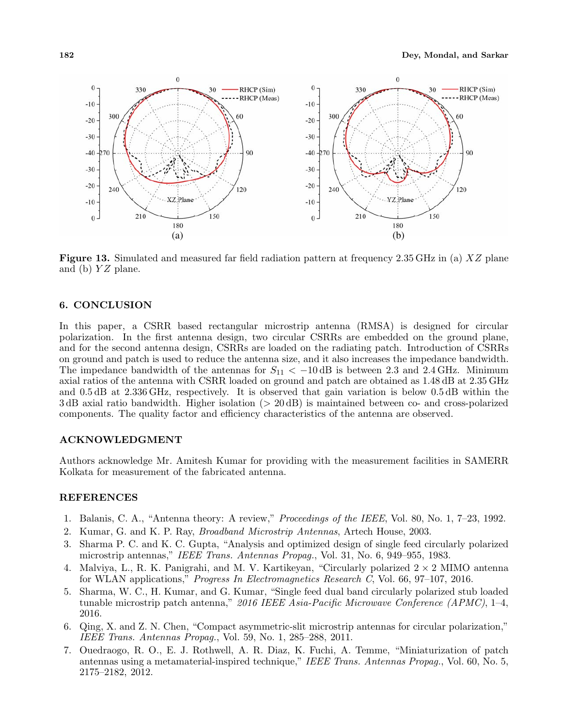

**Figure 13.** Simulated and measured far field radiation pattern at frequency 2.35 GHz in (a) XZ plane and (b)  $YZ$  plane.

## **6. CONCLUSION**

In this paper, a CSRR based rectangular microstrip antenna (RMSA) is designed for circular polarization. In the first antenna design, two circular CSRRs are embedded on the ground plane, and for the second antenna design, CSRRs are loaded on the radiating patch. Introduction of CSRRs on ground and patch is used to reduce the antenna size, and it also increases the impedance bandwidth. The impedance bandwidth of the antennas for  $S_{11} < -10$  dB is between 2.3 and 2.4 GHz. Minimum axial ratios of the antenna with CSRR loaded on ground and patch are obtained as 1.48 dB at 2.35 GHz and 0.5 dB at 2.336 GHz, respectively. It is observed that gain variation is below 0.5 dB within the 3 dB axial ratio bandwidth. Higher isolation (> 20 dB) is maintained between co- and cross-polarized components. The quality factor and efficiency characteristics of the antenna are observed.

### **ACKNOWLEDGMENT**

Authors acknowledge Mr. Amitesh Kumar for providing with the measurement facilities in SAMERR Kolkata for measurement of the fabricated antenna.

## **REFERENCES**

- 1. Balanis, C. A., "Antenna theory: A review," *Proceedings of the IEEE*, Vol. 80, No. 1, 7–23, 1992.
- 2. Kumar, G. and K. P. Ray, *Broadband Microstrip Antennas*, Artech House, 2003.
- 3. Sharma P. C. and K. C. Gupta, "Analysis and optimized design of single feed circularly polarized microstrip antennas," *IEEE Trans. Antennas Propag.*, Vol. 31, No. 6, 949–955, 1983.
- 4. Malviya, L., R. K. Panigrahi, and M. V. Kartikeyan, "Circularly polarized  $2 \times 2$  MIMO antenna for WLAN applications," *Progress In Electromagnetics Research C*, Vol. 66, 97–107, 2016.
- 5. Sharma, W. C., H. Kumar, and G. Kumar, "Single feed dual band circularly polarized stub loaded tunable microstrip patch antenna," *2016 IEEE Asia-Pacific Microwave Conference (APMC)*, 1–4, 2016.
- 6. Qing, X. and Z. N. Chen, "Compact asymmetric-slit microstrip antennas for circular polarization," *IEEE Trans. Antennas Propag.*, Vol. 59, No. 1, 285–288, 2011.
- 7. Ouedraogo, R. O., E. J. Rothwell, A. R. Diaz, K. Fuchi, A. Temme, "Miniaturization of patch antennas using a metamaterial-inspired technique," *IEEE Trans. Antennas Propag.*, Vol. 60, No. 5, 2175–2182, 2012.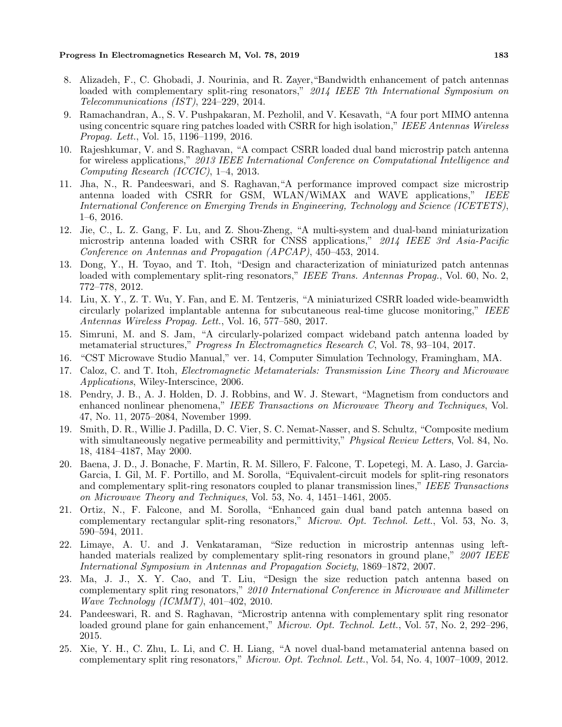#### **Progress In Electromagnetics Research M, Vol. 78, 2019 183**

- 8. Alizadeh, F., C. Ghobadi, J. Nourinia, and R. Zayer,"Bandwidth enhancement of patch antennas loaded with complementary split-ring resonators," *2014 IEEE 7th International Symposium on Telecommunications (IST)*, 224–229, 2014.
- 9. Ramachandran, A., S. V. Pushpakaran, M. Pezholil, and V. Kesavath, "A four port MIMO antenna using concentric square ring patches loaded with CSRR for high isolation," *IEEE Antennas Wireless Propag. Lett.*, Vol. 15, 1196–1199, 2016.
- 10. Rajeshkumar, V. and S. Raghavan, "A compact CSRR loaded dual band microstrip patch antenna for wireless applications," *2013 IEEE International Conference on Computational Intelligence and Computing Research (ICCIC)*, 1–4, 2013.
- 11. Jha, N., R. Pandeeswari, and S. Raghavan,"A performance improved compact size microstrip antenna loaded with CSRR for GSM, WLAN/WiMAX and WAVE applications," *IEEE International Conference on Emerging Trends in Engineering, Technology and Science (ICETETS)*, 1–6, 2016.
- 12. Jie, C., L. Z. Gang, F. Lu, and Z. Shou-Zheng, "A multi-system and dual-band miniaturization microstrip antenna loaded with CSRR for CNSS applications," *2014 IEEE 3rd Asia-Pacific Conference on Antennas and Propagation (APCAP)*, 450–453, 2014.
- 13. Dong, Y., H. Toyao, and T. Itoh, "Design and characterization of miniaturized patch antennas loaded with complementary split-ring resonators," *IEEE Trans. Antennas Propag.*, Vol. 60, No. 2, 772–778, 2012.
- 14. Liu, X. Y., Z. T. Wu, Y. Fan, and E. M. Tentzeris, "A miniaturized CSRR loaded wide-beamwidth circularly polarized implantable antenna for subcutaneous real-time glucose monitoring," *IEEE Antennas Wireless Propag. Lett.*, Vol. 16, 577–580, 2017.
- 15. Simruni, M. and S. Jam, "A circularly-polarized compact wideband patch antenna loaded by metamaterial structures," *Progress In Electromagnetics Research C*, Vol. 78, 93–104, 2017.
- 16. "CST Microwave Studio Manual," ver. 14, Computer Simulation Technology, Framingham, MA.
- 17. Caloz, C. and T. Itoh, *Electromagnetic Metamaterials: Transmission Line Theory and Microwave Applications*, Wiley-Interscince, 2006.
- 18. Pendry, J. B., A. J. Holden, D. J. Robbins, and W. J. Stewart, "Magnetism from conductors and enhanced nonlinear phenomena," *IEEE Transactions on Microwave Theory and Techniques*, Vol. 47, No. 11, 2075–2084, November 1999.
- 19. Smith, D. R., Willie J. Padilla, D. C. Vier, S. C. Nemat-Nasser, and S. Schultz, "Composite medium with simultaneously negative permeability and permittivity," *Physical Review Letters*, Vol. 84, No. 18, 4184–4187, May 2000.
- 20. Baena, J. D., J. Bonache, F. Martin, R. M. Sillero, F. Falcone, T. Lopetegi, M. A. Laso, J. Garcia-Garcia, I. Gil, M. F. Portillo, and M. Sorolla, "Equivalent-circuit models for split-ring resonators and complementary split-ring resonators coupled to planar transmission lines," *IEEE Transactions on Microwave Theory and Techniques*, Vol. 53, No. 4, 1451–1461, 2005.
- 21. Ortiz, N., F. Falcone, and M. Sorolla, "Enhanced gain dual band patch antenna based on complementary rectangular split-ring resonators," *Microw. Opt. Technol. Lett.*, Vol. 53, No. 3, 590–594, 2011.
- 22. Limaye, A. U. and J. Venkataraman, "Size reduction in microstrip antennas using lefthanded materials realized by complementary split-ring resonators in ground plane," *2007 IEEE International Symposium in Antennas and Propagation Society*, 1869–1872, 2007.
- 23. Ma, J. J., X. Y. Cao, and T. Liu, "Design the size reduction patch antenna based on complementary split ring resonators," *2010 International Conference in Microwave and Millimeter Wave Technology (ICMMT)*, 401–402, 2010.
- 24. Pandeeswari, R. and S. Raghavan, "Microstrip antenna with complementary split ring resonator loaded ground plane for gain enhancement," *Microw. Opt. Technol. Lett.*, Vol. 57, No. 2, 292–296, 2015.
- 25. Xie, Y. H., C. Zhu, L. Li, and C. H. Liang, "A novel dual-band metamaterial antenna based on complementary split ring resonators," *Microw. Opt. Technol. Lett.*, Vol. 54, No. 4, 1007–1009, 2012.